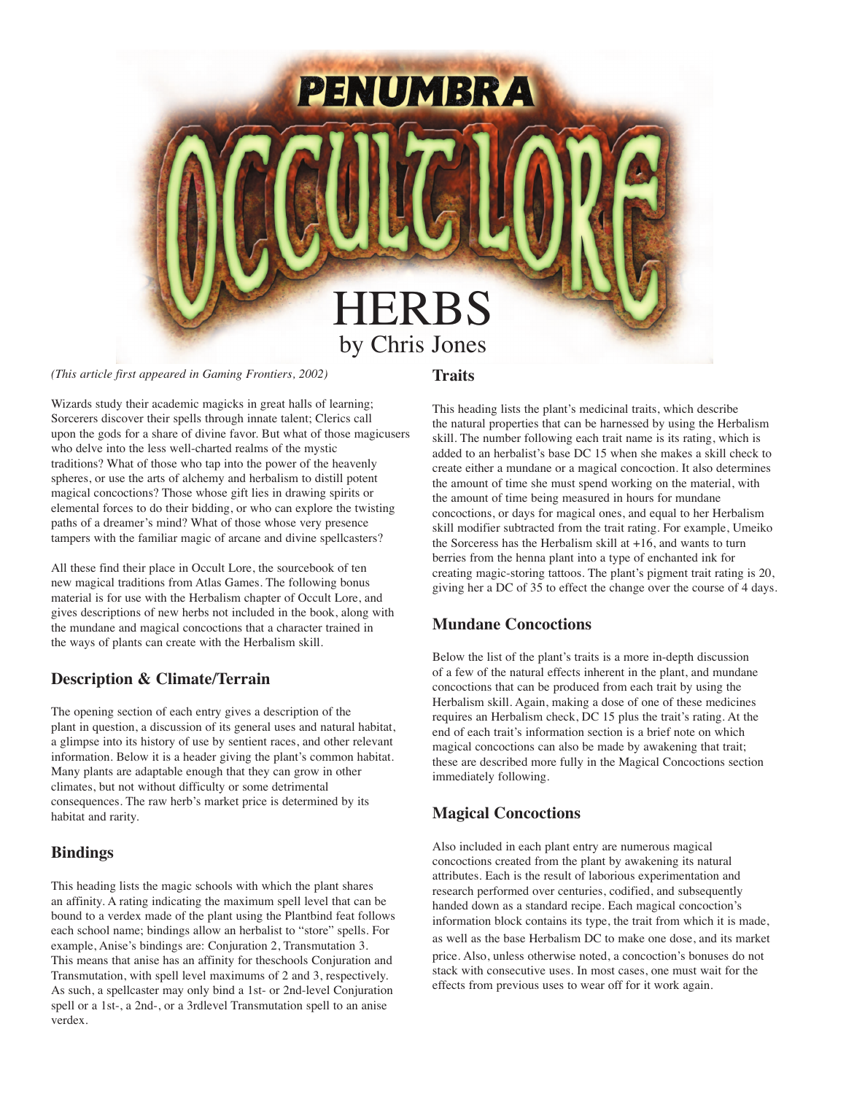

*(This article first appeared in Gaming Frontiers, 2002)*

**Traits**

Wizards study their academic magicks in great halls of learning; Sorcerers discover their spells through innate talent; Clerics call upon the gods for a share of divine favor. But what of those magicusers who delve into the less well-charted realms of the mystic traditions? What of those who tap into the power of the heavenly spheres, or use the arts of alchemy and herbalism to distill potent magical concoctions? Those whose gift lies in drawing spirits or elemental forces to do their bidding, or who can explore the twisting paths of a dreamer's mind? What of those whose very presence tampers with the familiar magic of arcane and divine spellcasters?

All these find their place in Occult Lore, the sourcebook of ten new magical traditions from Atlas Games. The following bonus material is for use with the Herbalism chapter of Occult Lore, and gives descriptions of new herbs not included in the book, along with the mundane and magical concoctions that a character trained in the ways of plants can create with the Herbalism skill.

### **Description & Climate/Terrain**

The opening section of each entry gives a description of the plant in question, a discussion of its general uses and natural habitat, a glimpse into its history of use by sentient races, and other relevant information. Below it is a header giving the plant's common habitat. Many plants are adaptable enough that they can grow in other climates, but not without difficulty or some detrimental consequences. The raw herb's market price is determined by its habitat and rarity.

### **Bindings**

This heading lists the magic schools with which the plant shares an affinity. A rating indicating the maximum spell level that can be bound to a verdex made of the plant using the Plantbind feat follows each school name; bindings allow an herbalist to "store" spells. For example, Anise's bindings are: Conjuration 2, Transmutation 3. This means that anise has an affinity for theschools Conjuration and Transmutation, with spell level maximums of 2 and 3, respectively. As such, a spellcaster may only bind a 1st- or 2nd-level Conjuration spell or a 1st-, a 2nd-, or a 3rdlevel Transmutation spell to an anise verdex.

This heading lists the plant's medicinal traits, which describe the natural properties that can be harnessed by using the Herbalism skill. The number following each trait name is its rating, which is added to an herbalist's base DC 15 when she makes a skill check to create either a mundane or a magical concoction. It also determines the amount of time she must spend working on the material, with the amount of time being measured in hours for mundane concoctions, or days for magical ones, and equal to her Herbalism skill modifier subtracted from the trait rating. For example, Umeiko the Sorceress has the Herbalism skill at +16, and wants to turn berries from the henna plant into a type of enchanted ink for creating magic-storing tattoos. The plant's pigment trait rating is 20, giving her a DC of 35 to effect the change over the course of 4 days.

### **Mundane Concoctions**

Below the list of the plant's traits is a more in-depth discussion of a few of the natural effects inherent in the plant, and mundane concoctions that can be produced from each trait by using the Herbalism skill. Again, making a dose of one of these medicines requires an Herbalism check, DC 15 plus the trait's rating. At the end of each trait's information section is a brief note on which magical concoctions can also be made by awakening that trait; these are described more fully in the Magical Concoctions section immediately following.

### **Magical Concoctions**

Also included in each plant entry are numerous magical concoctions created from the plant by awakening its natural attributes. Each is the result of laborious experimentation and research performed over centuries, codified, and subsequently handed down as a standard recipe. Each magical concoction's information block contains its type, the trait from which it is made, as well as the base Herbalism DC to make one dose, and its market price. Also, unless otherwise noted, a concoction's bonuses do not stack with consecutive uses. In most cases, one must wait for the effects from previous uses to wear off for it work again.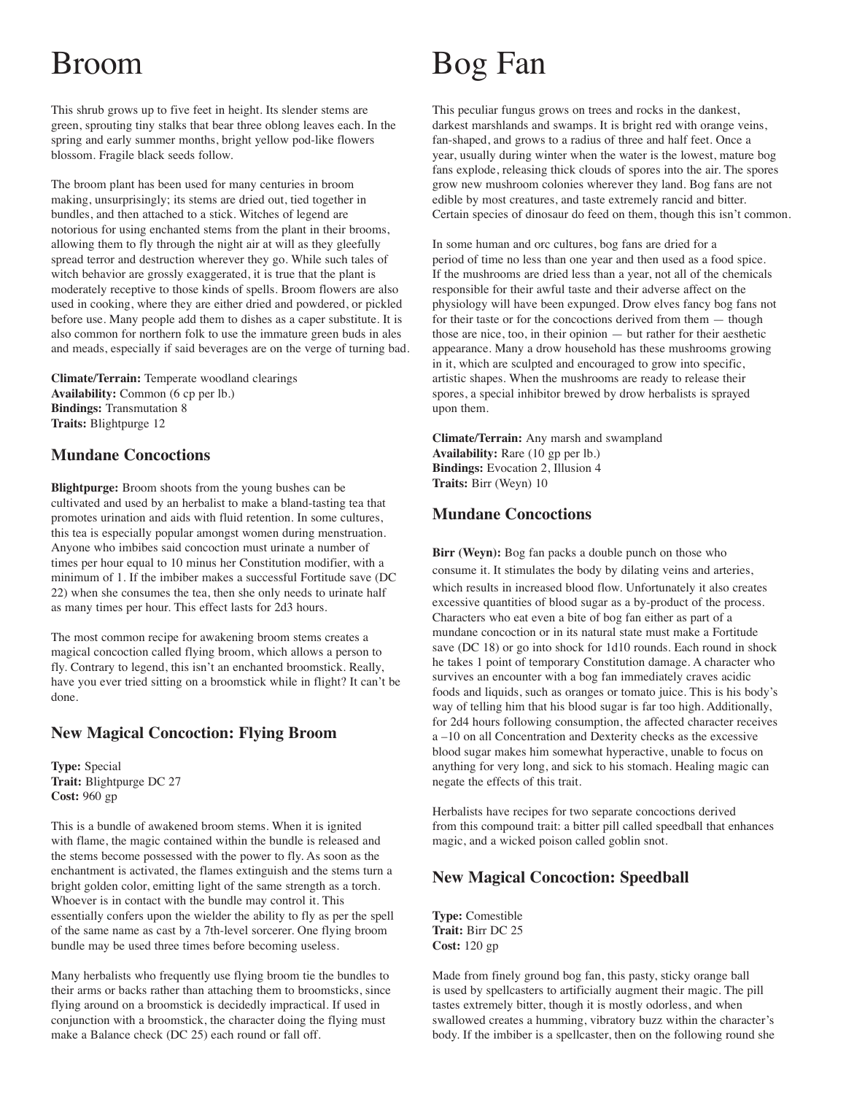# Broom

This shrub grows up to five feet in height. Its slender stems are green, sprouting tiny stalks that bear three oblong leaves each. In the spring and early summer months, bright yellow pod-like flowers blossom. Fragile black seeds follow.

The broom plant has been used for many centuries in broom making, unsurprisingly; its stems are dried out, tied together in bundles, and then attached to a stick. Witches of legend are notorious for using enchanted stems from the plant in their brooms, allowing them to fly through the night air at will as they gleefully spread terror and destruction wherever they go. While such tales of witch behavior are grossly exaggerated, it is true that the plant is moderately receptive to those kinds of spells. Broom flowers are also used in cooking, where they are either dried and powdered, or pickled before use. Many people add them to dishes as a caper substitute. It is also common for northern folk to use the immature green buds in ales and meads, especially if said beverages are on the verge of turning bad.

**Climate/Terrain:** Temperate woodland clearings **Availability:** Common (6 cp per lb.) **Bindings:** Transmutation 8 **Traits:** Blightpurge 12

### **Mundane Concoctions**

**Blightpurge:** Broom shoots from the young bushes can be cultivated and used by an herbalist to make a bland-tasting tea that promotes urination and aids with fluid retention. In some cultures, this tea is especially popular amongst women during menstruation. Anyone who imbibes said concoction must urinate a number of times per hour equal to 10 minus her Constitution modifier, with a minimum of 1. If the imbiber makes a successful Fortitude save (DC 22) when she consumes the tea, then she only needs to urinate half as many times per hour. This effect lasts for 2d3 hours.

The most common recipe for awakening broom stems creates a magical concoction called flying broom, which allows a person to fly. Contrary to legend, this isn't an enchanted broomstick. Really, have you ever tried sitting on a broomstick while in flight? It can't be done.

### **New Magical Concoction: Flying Broom**

**Type:** Special **Trait:** Blightpurge DC 27 **Cost:** 960 gp

This is a bundle of awakened broom stems. When it is ignited with flame, the magic contained within the bundle is released and the stems become possessed with the power to fly. As soon as the enchantment is activated, the flames extinguish and the stems turn a bright golden color, emitting light of the same strength as a torch. Whoever is in contact with the bundle may control it. This essentially confers upon the wielder the ability to fly as per the spell of the same name as cast by a 7th-level sorcerer. One flying broom bundle may be used three times before becoming useless.

Many herbalists who frequently use flying broom tie the bundles to their arms or backs rather than attaching them to broomsticks, since flying around on a broomstick is decidedly impractical. If used in conjunction with a broomstick, the character doing the flying must make a Balance check (DC 25) each round or fall off.

## Bog Fan

This peculiar fungus grows on trees and rocks in the dankest, darkest marshlands and swamps. It is bright red with orange veins, fan-shaped, and grows to a radius of three and half feet. Once a year, usually during winter when the water is the lowest, mature bog fans explode, releasing thick clouds of spores into the air. The spores grow new mushroom colonies wherever they land. Bog fans are not edible by most creatures, and taste extremely rancid and bitter. Certain species of dinosaur do feed on them, though this isn't common.

In some human and orc cultures, bog fans are dried for a period of time no less than one year and then used as a food spice. If the mushrooms are dried less than a year, not all of the chemicals responsible for their awful taste and their adverse affect on the physiology will have been expunged. Drow elves fancy bog fans not for their taste or for the concoctions derived from them — though those are nice, too, in their opinion — but rather for their aesthetic appearance. Many a drow household has these mushrooms growing in it, which are sculpted and encouraged to grow into specific, artistic shapes. When the mushrooms are ready to release their spores, a special inhibitor brewed by drow herbalists is sprayed upon them.

**Climate/Terrain:** Any marsh and swampland **Availability:** Rare (10 gp per lb.) **Bindings:** Evocation 2, Illusion 4 **Traits:** Birr (Weyn) 10

### **Mundane Concoctions**

**Birr (Weyn):** Bog fan packs a double punch on those who consume it. It stimulates the body by dilating veins and arteries, which results in increased blood flow. Unfortunately it also creates excessive quantities of blood sugar as a by-product of the process. Characters who eat even a bite of bog fan either as part of a mundane concoction or in its natural state must make a Fortitude save (DC 18) or go into shock for 1d10 rounds. Each round in shock he takes 1 point of temporary Constitution damage. A character who survives an encounter with a bog fan immediately craves acidic foods and liquids, such as oranges or tomato juice. This is his body's way of telling him that his blood sugar is far too high. Additionally, for 2d4 hours following consumption, the affected character receives a –10 on all Concentration and Dexterity checks as the excessive blood sugar makes him somewhat hyperactive, unable to focus on anything for very long, and sick to his stomach. Healing magic can negate the effects of this trait.

Herbalists have recipes for two separate concoctions derived from this compound trait: a bitter pill called speedball that enhances magic, and a wicked poison called goblin snot.

### **New Magical Concoction: Speedball**

**Type:** Comestible **Trait:** Birr DC 25 **Cost:** 120 gp

Made from finely ground bog fan, this pasty, sticky orange ball is used by spellcasters to artificially augment their magic. The pill tastes extremely bitter, though it is mostly odorless, and when swallowed creates a humming, vibratory buzz within the character's body. If the imbiber is a spellcaster, then on the following round she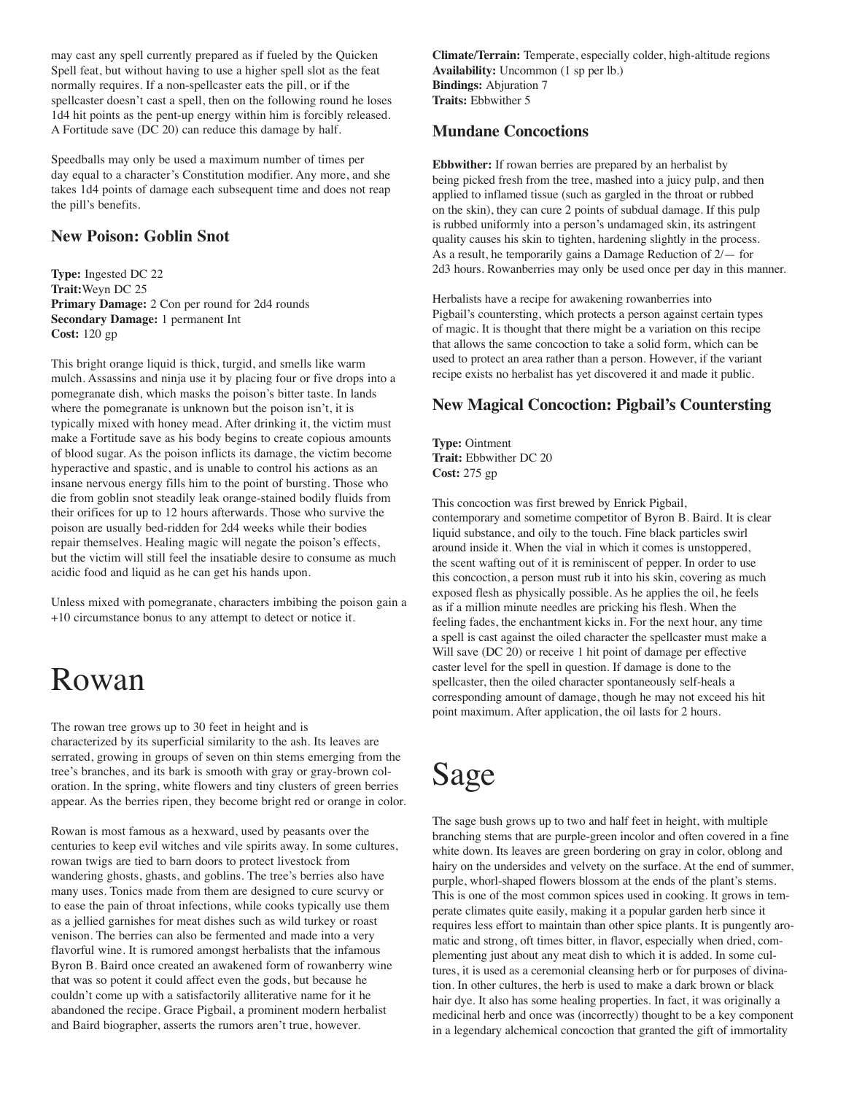may cast any spell currently prepared as if fueled by the Quicken Spell feat, but without having to use a higher spell slot as the feat normally requires. If a non-spellcaster eats the pill, or if the spellcaster doesn't cast a spell, then on the following round he loses 1d4 hit points as the pent-up energy within him is forcibly released. A Fortitude save (DC 20) can reduce this damage by half.

Speedballs may only be used a maximum number of times per day equal to a character's Constitution modifier. Any more, and she takes 1d4 points of damage each subsequent time and does not reap the pill's benefits.

### **New Poison: Goblin Snot**

**Type:** Ingested DC 22 **Trait:**Weyn DC 25 **Primary Damage:** 2 Con per round for 2d4 rounds **Secondary Damage:** 1 permanent Int **Cost:** 120 gp

This bright orange liquid is thick, turgid, and smells like warm mulch. Assassins and ninja use it by placing four or five drops into a pomegranate dish, which masks the poison's bitter taste. In lands where the pomegranate is unknown but the poison isn't, it is typically mixed with honey mead. After drinking it, the victim must make a Fortitude save as his body begins to create copious amounts of blood sugar. As the poison inflicts its damage, the victim become hyperactive and spastic, and is unable to control his actions as an insane nervous energy fills him to the point of bursting. Those who die from goblin snot steadily leak orange-stained bodily fluids from their orifices for up to 12 hours afterwards. Those who survive the poison are usually bed-ridden for 2d4 weeks while their bodies repair themselves. Healing magic will negate the poison's effects, but the victim will still feel the insatiable desire to consume as much acidic food and liquid as he can get his hands upon.

Unless mixed with pomegranate, characters imbibing the poison gain a +10 circumstance bonus to any attempt to detect or notice it.

### Rowan

The rowan tree grows up to 30 feet in height and is characterized by its superficial similarity to the ash. Its leaves are serrated, growing in groups of seven on thin stems emerging from the tree's branches, and its bark is smooth with gray or gray-brown coloration. In the spring, white flowers and tiny clusters of green berries appear. As the berries ripen, they become bright red or orange in color.

Rowan is most famous as a hexward, used by peasants over the centuries to keep evil witches and vile spirits away. In some cultures, rowan twigs are tied to barn doors to protect livestock from wandering ghosts, ghasts, and goblins. The tree's berries also have many uses. Tonics made from them are designed to cure scurvy or to ease the pain of throat infections, while cooks typically use them as a jellied garnishes for meat dishes such as wild turkey or roast venison. The berries can also be fermented and made into a very flavorful wine. It is rumored amongst herbalists that the infamous Byron B. Baird once created an awakened form of rowanberry wine that was so potent it could affect even the gods, but because he couldn't come up with a satisfactorily alliterative name for it he abandoned the recipe. Grace Pigbail, a prominent modern herbalist and Baird biographer, asserts the rumors aren't true, however.

**Climate/Terrain:** Temperate, especially colder, high-altitude regions **Availability:** Uncommon (1 sp per lb.) **Bindings:** Abjuration 7 **Traits:** Ebbwither 5

#### **Mundane Concoctions**

**Ebbwither:** If rowan berries are prepared by an herbalist by being picked fresh from the tree, mashed into a juicy pulp, and then applied to inflamed tissue (such as gargled in the throat or rubbed on the skin), they can cure 2 points of subdual damage. If this pulp is rubbed uniformly into a person's undamaged skin, its astringent quality causes his skin to tighten, hardening slightly in the process. As a result, he temporarily gains a Damage Reduction of 2/— for 2d3 hours. Rowanberries may only be used once per day in this manner.

Herbalists have a recipe for awakening rowanberries into Pigbail's countersting, which protects a person against certain types of magic. It is thought that there might be a variation on this recipe that allows the same concoction to take a solid form, which can be used to protect an area rather than a person. However, if the variant recipe exists no herbalist has yet discovered it and made it public.

### **New Magical Concoction: Pigbail's Countersting**

**Type:** Ointment **Trait:** Ebbwither DC 20 **Cost:** 275 gp

This concoction was first brewed by Enrick Pigbail, contemporary and sometime competitor of Byron B. Baird. It is clear liquid substance, and oily to the touch. Fine black particles swirl around inside it. When the vial in which it comes is unstoppered, the scent wafting out of it is reminiscent of pepper. In order to use this concoction, a person must rub it into his skin, covering as much exposed flesh as physically possible. As he applies the oil, he feels as if a million minute needles are pricking his flesh. When the feeling fades, the enchantment kicks in. For the next hour, any time a spell is cast against the oiled character the spellcaster must make a Will save (DC 20) or receive 1 hit point of damage per effective caster level for the spell in question. If damage is done to the spellcaster, then the oiled character spontaneously self-heals a corresponding amount of damage, though he may not exceed his hit point maximum. After application, the oil lasts for 2 hours.

# Sage

The sage bush grows up to two and half feet in height, with multiple branching stems that are purple-green incolor and often covered in a fine white down. Its leaves are green bordering on gray in color, oblong and hairy on the undersides and velvety on the surface. At the end of summer, purple, whorl-shaped flowers blossom at the ends of the plant's stems. This is one of the most common spices used in cooking. It grows in temperate climates quite easily, making it a popular garden herb since it requires less effort to maintain than other spice plants. It is pungently aromatic and strong, oft times bitter, in flavor, especially when dried, complementing just about any meat dish to which it is added. In some cultures, it is used as a ceremonial cleansing herb or for purposes of divination. In other cultures, the herb is used to make a dark brown or black hair dye. It also has some healing properties. In fact, it was originally a medicinal herb and once was (incorrectly) thought to be a key component in a legendary alchemical concoction that granted the gift of immortality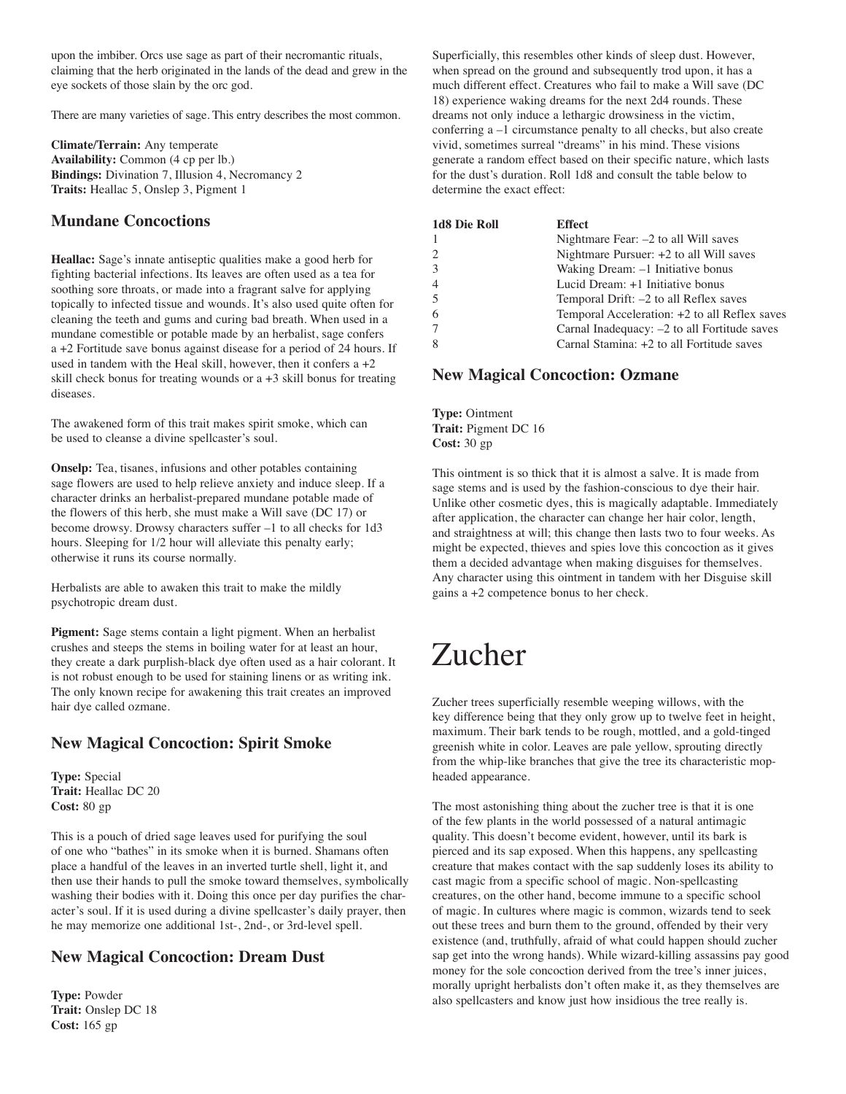upon the imbiber. Orcs use sage as part of their necromantic rituals, claiming that the herb originated in the lands of the dead and grew in the eye sockets of those slain by the orc god.

There are many varieties of sage. This entry describes the most common.

**Climate/Terrain:** Any temperate **Availability:** Common (4 cp per lb.) **Bindings:** Divination 7, Illusion 4, Necromancy 2 **Traits:** Heallac 5, Onslep 3, Pigment 1

### **Mundane Concoctions**

**Heallac:** Sage's innate antiseptic qualities make a good herb for fighting bacterial infections. Its leaves are often used as a tea for soothing sore throats, or made into a fragrant salve for applying topically to infected tissue and wounds. It's also used quite often for cleaning the teeth and gums and curing bad breath. When used in a mundane comestible or potable made by an herbalist, sage confers a +2 Fortitude save bonus against disease for a period of 24 hours. If used in tandem with the Heal skill, however, then it confers  $a + 2$ skill check bonus for treating wounds or a +3 skill bonus for treating diseases.

The awakened form of this trait makes spirit smoke, which can be used to cleanse a divine spellcaster's soul.

**Onselp:** Tea, tisanes, infusions and other potables containing sage flowers are used to help relieve anxiety and induce sleep. If a character drinks an herbalist-prepared mundane potable made of the flowers of this herb, she must make a Will save (DC 17) or become drowsy. Drowsy characters suffer –1 to all checks for 1d3 hours. Sleeping for  $1/2$  hour will alleviate this penalty early; otherwise it runs its course normally.

Herbalists are able to awaken this trait to make the mildly psychotropic dream dust.

**Pigment:** Sage stems contain a light pigment. When an herbalist crushes and steeps the stems in boiling water for at least an hour, they create a dark purplish-black dye often used as a hair colorant. It is not robust enough to be used for staining linens or as writing ink. The only known recipe for awakening this trait creates an improved hair dye called ozmane.

### **New Magical Concoction: Spirit Smoke**

**Type:** Special **Trait:** Heallac DC 20 **Cost:** 80 gp

This is a pouch of dried sage leaves used for purifying the soul of one who "bathes" in its smoke when it is burned. Shamans often place a handful of the leaves in an inverted turtle shell, light it, and then use their hands to pull the smoke toward themselves, symbolically washing their bodies with it. Doing this once per day purifies the character's soul. If it is used during a divine spellcaster's daily prayer, then he may memorize one additional 1st-, 2nd-, or 3rd-level spell.

### **New Magical Concoction: Dream Dust**

**Type:** Powder **Trait:** Onslep DC 18 **Cost:** 165 gp

Superficially, this resembles other kinds of sleep dust. However, when spread on the ground and subsequently trod upon, it has a much different effect. Creatures who fail to make a Will save (DC 18) experience waking dreams for the next 2d4 rounds. These dreams not only induce a lethargic drowsiness in the victim, conferring a –1 circumstance penalty to all checks, but also create vivid, sometimes surreal "dreams" in his mind. These visions generate a random effect based on their specific nature, which lasts for the dust's duration. Roll 1d8 and consult the table below to determine the exact effect:

| 1d8 Die Roll                  | <b>Effect</b>                                 |
|-------------------------------|-----------------------------------------------|
|                               | Nightmare Fear: $-2$ to all Will saves        |
| $\mathfrak{D}_{\mathfrak{p}}$ | Nightmare Pursuer: +2 to all Will saves       |
| $\mathcal{E}$                 | Waking Dream: -1 Initiative bonus             |
|                               | Lucid Dream: +1 Initiative bonus              |
| 5                             | Temporal Drift: -2 to all Reflex saves        |
|                               | Temporal Acceleration: +2 to all Reflex saves |
|                               | Carnal Inadequacy: -2 to all Fortitude saves  |
|                               | Carnal Stamina: +2 to all Fortitude saves     |

#### **New Magical Concoction: Ozmane**

**Type:** Ointment **Trait:** Pigment DC 16 **Cost:** 30 gp

This ointment is so thick that it is almost a salve. It is made from sage stems and is used by the fashion-conscious to dye their hair. Unlike other cosmetic dyes, this is magically adaptable. Immediately after application, the character can change her hair color, length, and straightness at will; this change then lasts two to four weeks. As might be expected, thieves and spies love this concoction as it gives them a decided advantage when making disguises for themselves. Any character using this ointment in tandem with her Disguise skill gains a +2 competence bonus to her check.

## Zucher

Zucher trees superficially resemble weeping willows, with the key difference being that they only grow up to twelve feet in height, maximum. Their bark tends to be rough, mottled, and a gold-tinged greenish white in color. Leaves are pale yellow, sprouting directly from the whip-like branches that give the tree its characteristic mopheaded appearance.

The most astonishing thing about the zucher tree is that it is one of the few plants in the world possessed of a natural antimagic quality. This doesn't become evident, however, until its bark is pierced and its sap exposed. When this happens, any spellcasting creature that makes contact with the sap suddenly loses its ability to cast magic from a specific school of magic. Non-spellcasting creatures, on the other hand, become immune to a specific school of magic. In cultures where magic is common, wizards tend to seek out these trees and burn them to the ground, offended by their very existence (and, truthfully, afraid of what could happen should zucher sap get into the wrong hands). While wizard-killing assassins pay good money for the sole concoction derived from the tree's inner juices, morally upright herbalists don't often make it, as they themselves are also spellcasters and know just how insidious the tree really is.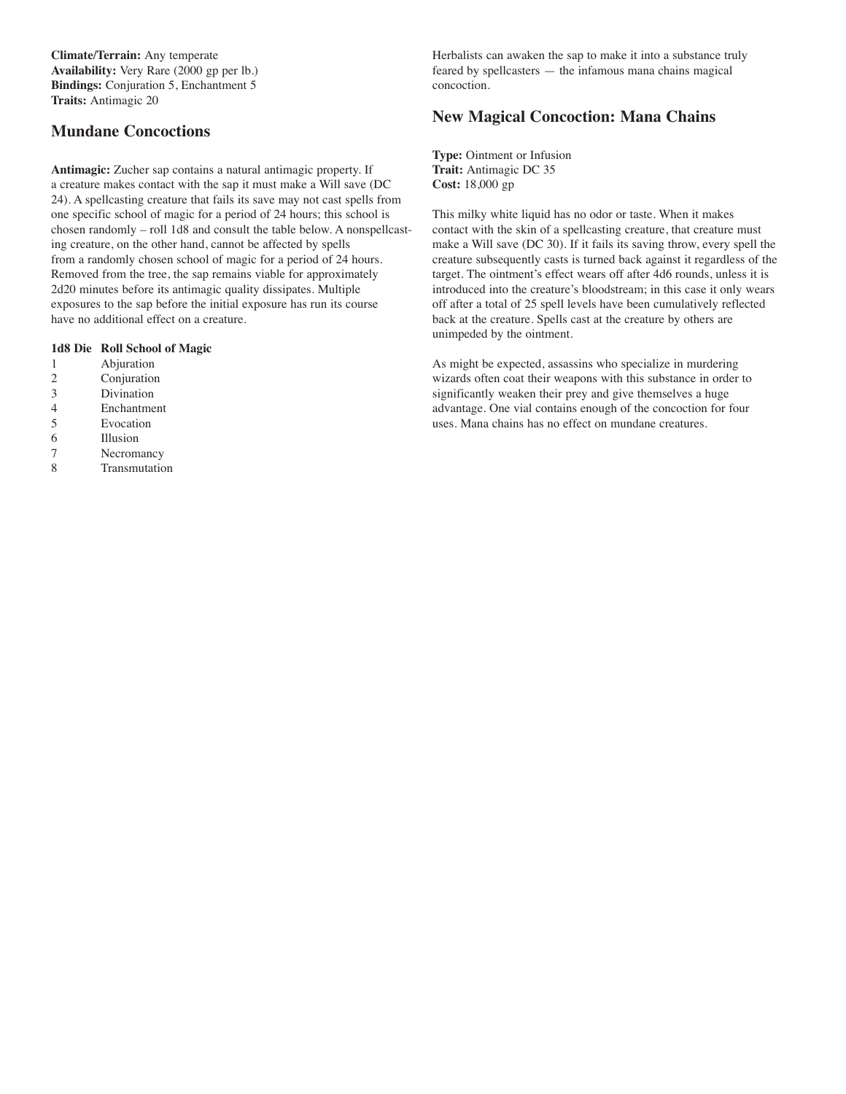**Climate/Terrain:** Any temperate **Availability:** Very Rare (2000 gp per lb.) **Bindings:** Conjuration 5, Enchantment 5 **Traits:** Antimagic 20

### **Mundane Concoctions**

**Antimagic:** Zucher sap contains a natural antimagic property. If a creature makes contact with the sap it must make a Will save (DC 24). A spellcasting creature that fails its save may not cast spells from one specific school of magic for a period of 24 hours; this school is chosen randomly – roll 1d8 and consult the table below. A nonspellcasting creature, on the other hand, cannot be affected by spells from a randomly chosen school of magic for a period of 24 hours. Removed from the tree, the sap remains viable for approximately 2d20 minutes before its antimagic quality dissipates. Multiple exposures to the sap before the initial exposure has run its course have no additional effect on a creature.

#### **1d8 Die Roll School of Magic**

- 1 Abjuration
- 2 Conjuration
- 3 Divination
- 4 Enchantment
- 5 Evocation
- 6 Illusion
- 7 Necromancy
- 8 Transmutation

Herbalists can awaken the sap to make it into a substance truly feared by spellcasters — the infamous mana chains magical concoction.

### **New Magical Concoction: Mana Chains**

**Type:** Ointment or Infusion **Trait:** Antimagic DC 35 **Cost:** 18,000 gp

This milky white liquid has no odor or taste. When it makes contact with the skin of a spellcasting creature, that creature must make a Will save (DC 30). If it fails its saving throw, every spell the creature subsequently casts is turned back against it regardless of the target. The ointment's effect wears off after 4d6 rounds, unless it is introduced into the creature's bloodstream; in this case it only wears off after a total of 25 spell levels have been cumulatively reflected back at the creature. Spells cast at the creature by others are unimpeded by the ointment.

As might be expected, assassins who specialize in murdering wizards often coat their weapons with this substance in order to significantly weaken their prey and give themselves a huge advantage. One vial contains enough of the concoction for four uses. Mana chains has no effect on mundane creatures.